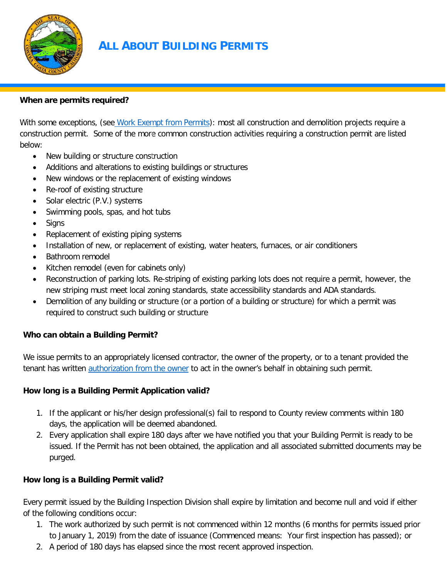

# **ALL ABOUT BUILDING PERMITS**

#### **When are permits required?**

With some exceptions, (see [Work Exempt from Permits\)](http://www.contracosta.ca.gov/DocumentCenter/View/45841): most all construction and demolition projects require a construction permit. Some of the more common construction activities requiring a construction permit are listed below:

- New building or structure construction
- Additions and alterations to existing buildings or structures
- New windows or the replacement of existing windows
- Re-roof of existing structure
- Solar electric (P.V.) systems
- Swimming pools, spas, and hot tubs
- Signs
- Replacement of existing piping systems
- Installation of new, or replacement of existing, water heaters, furnaces, or air conditioners
- Bathroom remodel
- Kitchen remodel (even for cabinets only)
- Reconstruction of parking lots. Re-striping of existing parking lots does not require a permit, however, the new striping must meet local zoning standards, state accessibility standards and ADA standards.
- Demolition of any building or structure (or a portion of a building or structure) for which a permit was required to construct such building or structure

#### **Who can obtain a Building Permit?**

We issue permits to an appropriately licensed contractor, the owner of the property, or to a tenant provided the tenant has written [authorization from the owner](file://DCD-FS/GROUPS/DCD%20Resources/How%20To%20Guides/Website%20Documents/Current/AUTHORIZATION%20OF%20AGENT.docx) to act in the owner's behalf in obtaining such permit.

#### **How long is a Building Permit Application valid?**

- 1. If the applicant or his/her design professional(s) fail to respond to County review comments within 180 days, the application will be deemed abandoned.
- 2. Every application shall expire 180 days after we have notified you that your Building Permit is ready to be issued. If the Permit has not been obtained, the application and all associated submitted documents may be purged.

#### **How long is a Building Permit valid?**

Every permit issued by the Building Inspection Division shall expire by limitation and become null and void if either of the following conditions occur:

- 1. The work authorized by such permit is not commenced within 12 months (6 months for permits issued prior to January 1, 2019) from the date of issuance (Commenced means: Your first inspection has passed); or
- 2. A period of 180 days has elapsed since the most recent approved inspection.